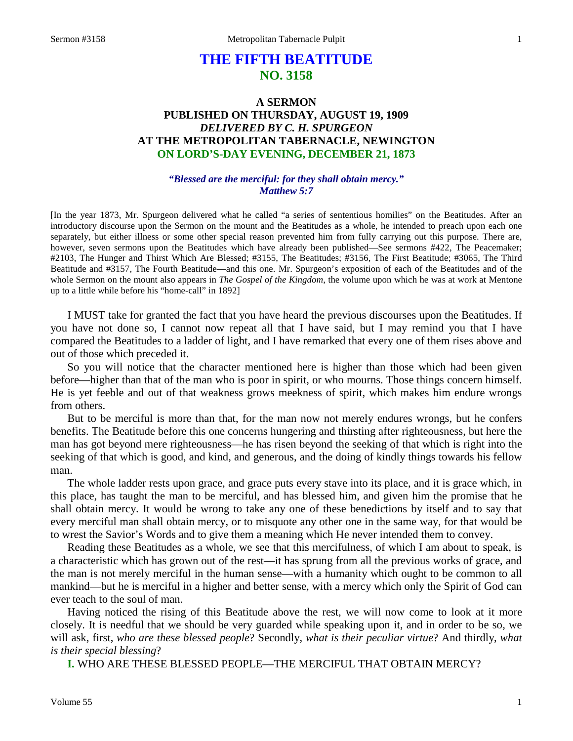# **THE FIFTH BEATITUDE NO. 3158**

# **A SERMON PUBLISHED ON THURSDAY, AUGUST 19, 1909** *DELIVERED BY C. H. SPURGEON* **AT THE METROPOLITAN TABERNACLE, NEWINGTON ON LORD'S-DAY EVENING, DECEMBER 21, 1873**

### *"Blessed are the merciful: for they shall obtain mercy." Matthew 5:7*

[In the year 1873, Mr. Spurgeon delivered what he called "a series of sententious homilies" on the Beatitudes. After an introductory discourse upon the Sermon on the mount and the Beatitudes as a whole, he intended to preach upon each one separately, but either illness or some other special reason prevented him from fully carrying out this purpose. There are, however, seven sermons upon the Beatitudes which have already been published—See sermons #422, The Peacemaker; #2103, The Hunger and Thirst Which Are Blessed; #3155, The Beatitudes; #3156, The First Beatitude; #3065, The Third Beatitude and #3157, The Fourth Beatitude—and this one. Mr. Spurgeon's exposition of each of the Beatitudes and of the whole Sermon on the mount also appears in *The Gospel of the Kingdom*, the volume upon which he was at work at Mentone up to a little while before his "home-call" in 1892]

I MUST take for granted the fact that you have heard the previous discourses upon the Beatitudes. If you have not done so, I cannot now repeat all that I have said, but I may remind you that I have compared the Beatitudes to a ladder of light, and I have remarked that every one of them rises above and out of those which preceded it.

So you will notice that the character mentioned here is higher than those which had been given before—higher than that of the man who is poor in spirit, or who mourns. Those things concern himself. He is yet feeble and out of that weakness grows meekness of spirit, which makes him endure wrongs from others.

But to be merciful is more than that, for the man now not merely endures wrongs, but he confers benefits. The Beatitude before this one concerns hungering and thirsting after righteousness, but here the man has got beyond mere righteousness—he has risen beyond the seeking of that which is right into the seeking of that which is good, and kind, and generous, and the doing of kindly things towards his fellow man.

The whole ladder rests upon grace, and grace puts every stave into its place, and it is grace which, in this place, has taught the man to be merciful, and has blessed him, and given him the promise that he shall obtain mercy. It would be wrong to take any one of these benedictions by itself and to say that every merciful man shall obtain mercy, or to misquote any other one in the same way, for that would be to wrest the Savior's Words and to give them a meaning which He never intended them to convey.

Reading these Beatitudes as a whole, we see that this mercifulness, of which I am about to speak, is a characteristic which has grown out of the rest—it has sprung from all the previous works of grace, and the man is not merely merciful in the human sense—with a humanity which ought to be common to all mankind—but he is merciful in a higher and better sense, with a mercy which only the Spirit of God can ever teach to the soul of man.

Having noticed the rising of this Beatitude above the rest, we will now come to look at it more closely. It is needful that we should be very guarded while speaking upon it, and in order to be so, we will ask, first, *who are these blessed people*? Secondly, *what is their peculiar virtue*? And thirdly, *what is their special blessing*?

**I.** WHO ARE THESE BLESSED PEOPLE—THE MERCIFUL THAT OBTAIN MERCY?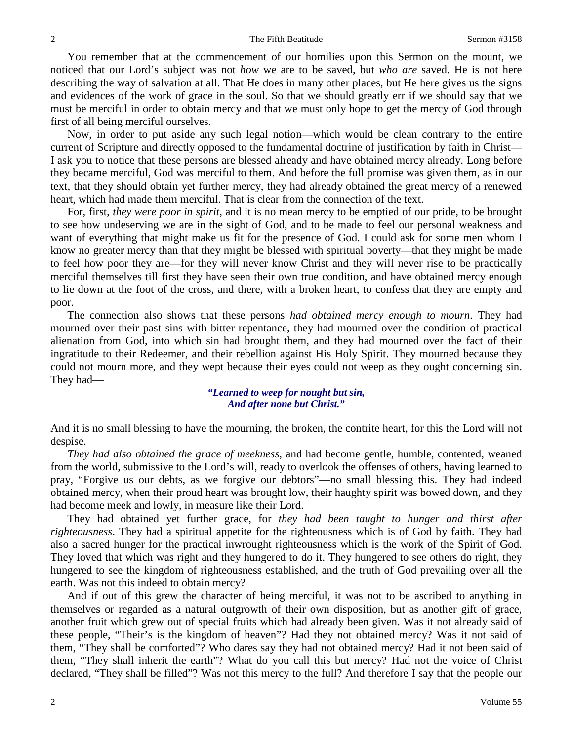You remember that at the commencement of our homilies upon this Sermon on the mount, we noticed that our Lord's subject was not *how* we are to be saved, but *who are* saved. He is not here describing the way of salvation at all. That He does in many other places, but He here gives us the signs and evidences of the work of grace in the soul. So that we should greatly err if we should say that we must be merciful in order to obtain mercy and that we must only hope to get the mercy of God through first of all being merciful ourselves.

Now, in order to put aside any such legal notion—which would be clean contrary to the entire current of Scripture and directly opposed to the fundamental doctrine of justification by faith in Christ— I ask you to notice that these persons are blessed already and have obtained mercy already. Long before they became merciful, God was merciful to them. And before the full promise was given them, as in our text, that they should obtain yet further mercy, they had already obtained the great mercy of a renewed heart, which had made them merciful. That is clear from the connection of the text.

For, first, *they were poor in spirit*, and it is no mean mercy to be emptied of our pride, to be brought to see how undeserving we are in the sight of God, and to be made to feel our personal weakness and want of everything that might make us fit for the presence of God. I could ask for some men whom I know no greater mercy than that they might be blessed with spiritual poverty—that they might be made to feel how poor they are—for they will never know Christ and they will never rise to be practically merciful themselves till first they have seen their own true condition, and have obtained mercy enough to lie down at the foot of the cross, and there, with a broken heart, to confess that they are empty and poor.

The connection also shows that these persons *had obtained mercy enough to mourn*. They had mourned over their past sins with bitter repentance, they had mourned over the condition of practical alienation from God, into which sin had brought them, and they had mourned over the fact of their ingratitude to their Redeemer, and their rebellion against His Holy Spirit. They mourned because they could not mourn more, and they wept because their eyes could not weep as they ought concerning sin. They had—

## *"Learned to weep for nought but sin, And after none but Christ."*

And it is no small blessing to have the mourning, the broken, the contrite heart, for this the Lord will not despise.

*They had also obtained the grace of meekness*, and had become gentle, humble, contented, weaned from the world, submissive to the Lord's will, ready to overlook the offenses of others, having learned to pray, "Forgive us our debts, as we forgive our debtors"—no small blessing this. They had indeed obtained mercy, when their proud heart was brought low, their haughty spirit was bowed down, and they had become meek and lowly, in measure like their Lord.

They had obtained yet further grace, for *they had been taught to hunger and thirst after righteousness*. They had a spiritual appetite for the righteousness which is of God by faith. They had also a sacred hunger for the practical inwrought righteousness which is the work of the Spirit of God. They loved that which was right and they hungered to do it. They hungered to see others do right, they hungered to see the kingdom of righteousness established, and the truth of God prevailing over all the earth. Was not this indeed to obtain mercy?

And if out of this grew the character of being merciful, it was not to be ascribed to anything in themselves or regarded as a natural outgrowth of their own disposition, but as another gift of grace, another fruit which grew out of special fruits which had already been given. Was it not already said of these people, "Their's is the kingdom of heaven"? Had they not obtained mercy? Was it not said of them, "They shall be comforted"? Who dares say they had not obtained mercy? Had it not been said of them, "They shall inherit the earth"? What do you call this but mercy? Had not the voice of Christ declared, "They shall be filled"? Was not this mercy to the full? And therefore I say that the people our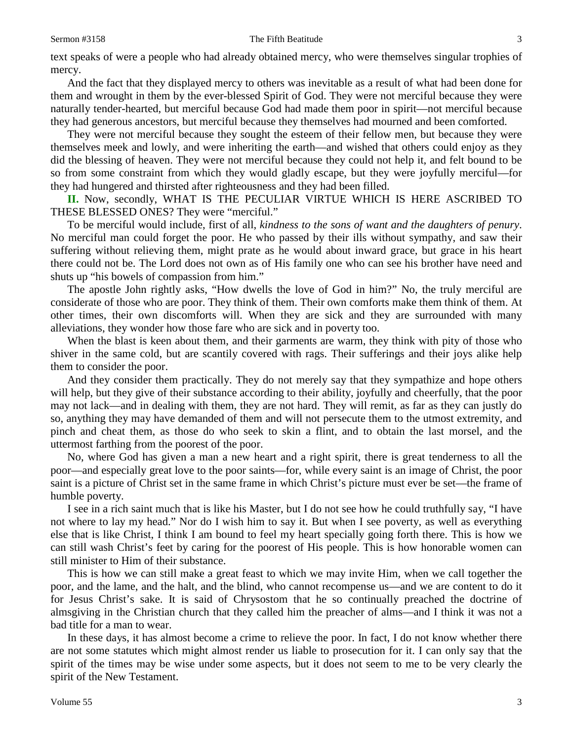text speaks of were a people who had already obtained mercy, who were themselves singular trophies of mercy.

And the fact that they displayed mercy to others was inevitable as a result of what had been done for them and wrought in them by the ever-blessed Spirit of God. They were not merciful because they were naturally tender-hearted, but merciful because God had made them poor in spirit—not merciful because they had generous ancestors, but merciful because they themselves had mourned and been comforted.

They were not merciful because they sought the esteem of their fellow men, but because they were themselves meek and lowly, and were inheriting the earth—and wished that others could enjoy as they did the blessing of heaven. They were not merciful because they could not help it, and felt bound to be so from some constraint from which they would gladly escape, but they were joyfully merciful—for they had hungered and thirsted after righteousness and they had been filled.

**II.** Now, secondly, WHAT IS THE PECULIAR VIRTUE WHICH IS HERE ASCRIBED TO THESE BLESSED ONES? They were "merciful."

To be merciful would include, first of all, *kindness to the sons of want and the daughters of penury*. No merciful man could forget the poor. He who passed by their ills without sympathy, and saw their suffering without relieving them, might prate as he would about inward grace, but grace in his heart there could not be. The Lord does not own as of His family one who can see his brother have need and shuts up "his bowels of compassion from him."

The apostle John rightly asks, "How dwells the love of God in him?" No, the truly merciful are considerate of those who are poor. They think of them. Their own comforts make them think of them. At other times, their own discomforts will. When they are sick and they are surrounded with many alleviations, they wonder how those fare who are sick and in poverty too.

When the blast is keen about them, and their garments are warm, they think with pity of those who shiver in the same cold, but are scantily covered with rags. Their sufferings and their joys alike help them to consider the poor.

And they consider them practically. They do not merely say that they sympathize and hope others will help, but they give of their substance according to their ability, joyfully and cheerfully, that the poor may not lack—and in dealing with them, they are not hard. They will remit, as far as they can justly do so, anything they may have demanded of them and will not persecute them to the utmost extremity, and pinch and cheat them, as those do who seek to skin a flint, and to obtain the last morsel, and the uttermost farthing from the poorest of the poor.

No, where God has given a man a new heart and a right spirit, there is great tenderness to all the poor—and especially great love to the poor saints—for, while every saint is an image of Christ, the poor saint is a picture of Christ set in the same frame in which Christ's picture must ever be set—the frame of humble poverty.

I see in a rich saint much that is like his Master, but I do not see how he could truthfully say, "I have not where to lay my head." Nor do I wish him to say it. But when I see poverty, as well as everything else that is like Christ, I think I am bound to feel my heart specially going forth there. This is how we can still wash Christ's feet by caring for the poorest of His people. This is how honorable women can still minister to Him of their substance.

This is how we can still make a great feast to which we may invite Him, when we call together the poor, and the lame, and the halt, and the blind, who cannot recompense us—and we are content to do it for Jesus Christ's sake. It is said of Chrysostom that he so continually preached the doctrine of almsgiving in the Christian church that they called him the preacher of alms—and I think it was not a bad title for a man to wear.

In these days, it has almost become a crime to relieve the poor. In fact, I do not know whether there are not some statutes which might almost render us liable to prosecution for it. I can only say that the spirit of the times may be wise under some aspects, but it does not seem to me to be very clearly the spirit of the New Testament.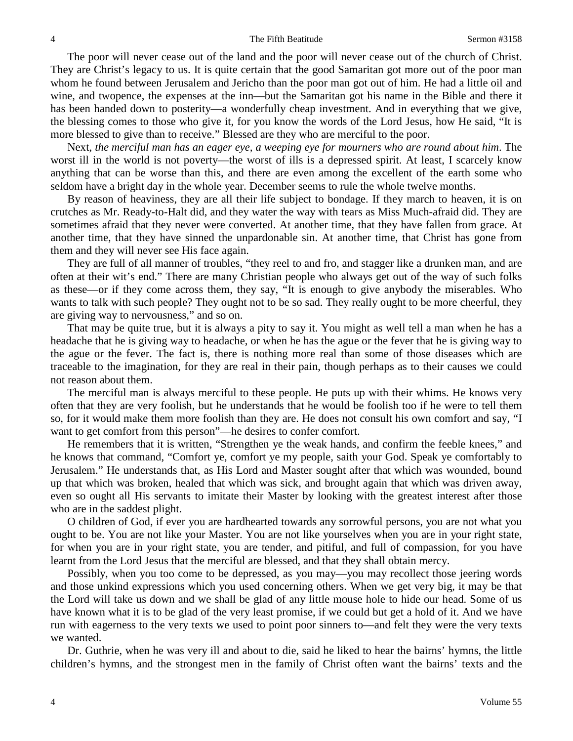The poor will never cease out of the land and the poor will never cease out of the church of Christ. They are Christ's legacy to us. It is quite certain that the good Samaritan got more out of the poor man whom he found between Jerusalem and Jericho than the poor man got out of him. He had a little oil and wine, and twopence, the expenses at the inn—but the Samaritan got his name in the Bible and there it has been handed down to posterity—a wonderfully cheap investment. And in everything that we give, the blessing comes to those who give it, for you know the words of the Lord Jesus, how He said, "It is more blessed to give than to receive." Blessed are they who are merciful to the poor.

Next, *the merciful man has an eager eye, a weeping eye for mourners who are round about him*. The worst ill in the world is not poverty—the worst of ills is a depressed spirit. At least, I scarcely know anything that can be worse than this, and there are even among the excellent of the earth some who seldom have a bright day in the whole year. December seems to rule the whole twelve months.

By reason of heaviness, they are all their life subject to bondage. If they march to heaven, it is on crutches as Mr. Ready-to-Halt did, and they water the way with tears as Miss Much-afraid did. They are sometimes afraid that they never were converted. At another time, that they have fallen from grace. At another time, that they have sinned the unpardonable sin. At another time, that Christ has gone from them and they will never see His face again.

They are full of all manner of troubles, "they reel to and fro, and stagger like a drunken man, and are often at their wit's end." There are many Christian people who always get out of the way of such folks as these—or if they come across them, they say, "It is enough to give anybody the miserables. Who wants to talk with such people? They ought not to be so sad. They really ought to be more cheerful, they are giving way to nervousness," and so on.

That may be quite true, but it is always a pity to say it. You might as well tell a man when he has a headache that he is giving way to headache, or when he has the ague or the fever that he is giving way to the ague or the fever. The fact is, there is nothing more real than some of those diseases which are traceable to the imagination, for they are real in their pain, though perhaps as to their causes we could not reason about them.

The merciful man is always merciful to these people. He puts up with their whims. He knows very often that they are very foolish, but he understands that he would be foolish too if he were to tell them so, for it would make them more foolish than they are. He does not consult his own comfort and say, "I want to get comfort from this person"—he desires to confer comfort.

He remembers that it is written, "Strengthen ye the weak hands, and confirm the feeble knees," and he knows that command, "Comfort ye, comfort ye my people, saith your God. Speak ye comfortably to Jerusalem." He understands that, as His Lord and Master sought after that which was wounded, bound up that which was broken, healed that which was sick, and brought again that which was driven away, even so ought all His servants to imitate their Master by looking with the greatest interest after those who are in the saddest plight.

O children of God, if ever you are hardhearted towards any sorrowful persons, you are not what you ought to be. You are not like your Master. You are not like yourselves when you are in your right state, for when you are in your right state, you are tender, and pitiful, and full of compassion, for you have learnt from the Lord Jesus that the merciful are blessed, and that they shall obtain mercy.

Possibly, when you too come to be depressed, as you may—you may recollect those jeering words and those unkind expressions which you used concerning others. When we get very big, it may be that the Lord will take us down and we shall be glad of any little mouse hole to hide our head. Some of us have known what it is to be glad of the very least promise, if we could but get a hold of it. And we have run with eagerness to the very texts we used to point poor sinners to—and felt they were the very texts we wanted.

Dr. Guthrie, when he was very ill and about to die, said he liked to hear the bairns' hymns, the little children's hymns, and the strongest men in the family of Christ often want the bairns' texts and the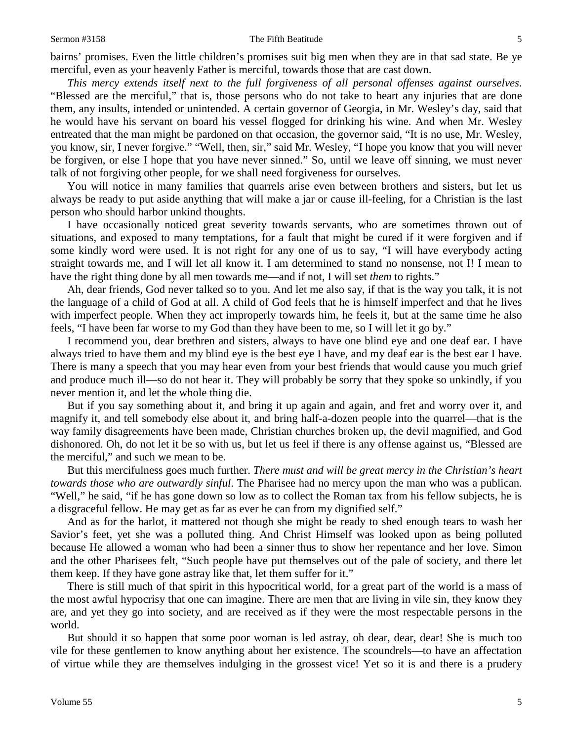#### Sermon #3158 The Fifth Beatitude 5

bairns' promises. Even the little children's promises suit big men when they are in that sad state. Be ye merciful, even as your heavenly Father is merciful, towards those that are cast down.

*This mercy extends itself next to the full forgiveness of all personal offenses against ourselves*. "Blessed are the merciful," that is, those persons who do not take to heart any injuries that are done them, any insults, intended or unintended. A certain governor of Georgia, in Mr. Wesley's day, said that he would have his servant on board his vessel flogged for drinking his wine. And when Mr. Wesley entreated that the man might be pardoned on that occasion, the governor said, "It is no use, Mr. Wesley, you know, sir, I never forgive." "Well, then, sir," said Mr. Wesley, "I hope you know that you will never be forgiven, or else I hope that you have never sinned." So, until we leave off sinning, we must never talk of not forgiving other people, for we shall need forgiveness for ourselves.

You will notice in many families that quarrels arise even between brothers and sisters, but let us always be ready to put aside anything that will make a jar or cause ill-feeling, for a Christian is the last person who should harbor unkind thoughts.

I have occasionally noticed great severity towards servants, who are sometimes thrown out of situations, and exposed to many temptations, for a fault that might be cured if it were forgiven and if some kindly word were used. It is not right for any one of us to say, "I will have everybody acting straight towards me, and I will let all know it. I am determined to stand no nonsense, not I! I mean to have the right thing done by all men towards me—and if not, I will set *them* to rights."

Ah, dear friends, God never talked so to you. And let me also say, if that is the way you talk, it is not the language of a child of God at all. A child of God feels that he is himself imperfect and that he lives with imperfect people. When they act improperly towards him, he feels it, but at the same time he also feels, "I have been far worse to my God than they have been to me, so I will let it go by."

I recommend you, dear brethren and sisters, always to have one blind eye and one deaf ear. I have always tried to have them and my blind eye is the best eye I have, and my deaf ear is the best ear I have. There is many a speech that you may hear even from your best friends that would cause you much grief and produce much ill—so do not hear it. They will probably be sorry that they spoke so unkindly, if you never mention it, and let the whole thing die.

But if you say something about it, and bring it up again and again, and fret and worry over it, and magnify it, and tell somebody else about it, and bring half-a-dozen people into the quarrel—that is the way family disagreements have been made, Christian churches broken up, the devil magnified, and God dishonored. Oh, do not let it be so with us, but let us feel if there is any offense against us, "Blessed are the merciful," and such we mean to be.

But this mercifulness goes much further. *There must and will be great mercy in the Christian's heart towards those who are outwardly sinful*. The Pharisee had no mercy upon the man who was a publican. "Well," he said, "if he has gone down so low as to collect the Roman tax from his fellow subjects, he is a disgraceful fellow. He may get as far as ever he can from my dignified self."

And as for the harlot, it mattered not though she might be ready to shed enough tears to wash her Savior's feet, yet she was a polluted thing. And Christ Himself was looked upon as being polluted because He allowed a woman who had been a sinner thus to show her repentance and her love. Simon and the other Pharisees felt, "Such people have put themselves out of the pale of society, and there let them keep. If they have gone astray like that, let them suffer for it."

There is still much of that spirit in this hypocritical world, for a great part of the world is a mass of the most awful hypocrisy that one can imagine. There are men that are living in vile sin, they know they are, and yet they go into society, and are received as if they were the most respectable persons in the world.

But should it so happen that some poor woman is led astray, oh dear, dear, dear! She is much too vile for these gentlemen to know anything about her existence. The scoundrels—to have an affectation of virtue while they are themselves indulging in the grossest vice! Yet so it is and there is a prudery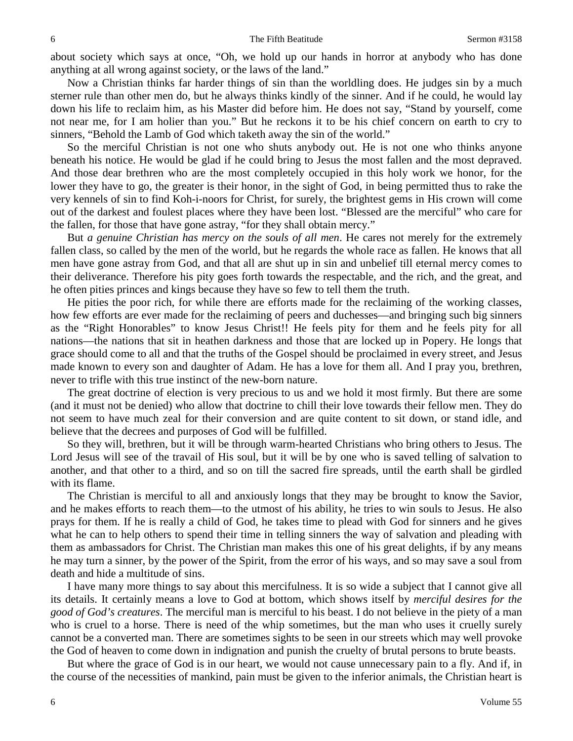about society which says at once, "Oh, we hold up our hands in horror at anybody who has done anything at all wrong against society, or the laws of the land."

Now a Christian thinks far harder things of sin than the worldling does. He judges sin by a much sterner rule than other men do, but he always thinks kindly of the sinner. And if he could, he would lay down his life to reclaim him, as his Master did before him. He does not say, "Stand by yourself, come not near me, for I am holier than you." But he reckons it to be his chief concern on earth to cry to sinners, "Behold the Lamb of God which taketh away the sin of the world."

So the merciful Christian is not one who shuts anybody out. He is not one who thinks anyone beneath his notice. He would be glad if he could bring to Jesus the most fallen and the most depraved. And those dear brethren who are the most completely occupied in this holy work we honor, for the lower they have to go, the greater is their honor, in the sight of God, in being permitted thus to rake the very kennels of sin to find Koh-i-noors for Christ, for surely, the brightest gems in His crown will come out of the darkest and foulest places where they have been lost. "Blessed are the merciful" who care for the fallen, for those that have gone astray, "for they shall obtain mercy."

But *a genuine Christian has mercy on the souls of all men*. He cares not merely for the extremely fallen class, so called by the men of the world, but he regards the whole race as fallen. He knows that all men have gone astray from God, and that all are shut up in sin and unbelief till eternal mercy comes to their deliverance. Therefore his pity goes forth towards the respectable, and the rich, and the great, and he often pities princes and kings because they have so few to tell them the truth.

He pities the poor rich, for while there are efforts made for the reclaiming of the working classes, how few efforts are ever made for the reclaiming of peers and duchesses—and bringing such big sinners as the "Right Honorables" to know Jesus Christ!! He feels pity for them and he feels pity for all nations—the nations that sit in heathen darkness and those that are locked up in Popery. He longs that grace should come to all and that the truths of the Gospel should be proclaimed in every street, and Jesus made known to every son and daughter of Adam. He has a love for them all. And I pray you, brethren, never to trifle with this true instinct of the new-born nature.

The great doctrine of election is very precious to us and we hold it most firmly. But there are some (and it must not be denied) who allow that doctrine to chill their love towards their fellow men. They do not seem to have much zeal for their conversion and are quite content to sit down, or stand idle, and believe that the decrees and purposes of God will be fulfilled.

So they will, brethren, but it will be through warm-hearted Christians who bring others to Jesus. The Lord Jesus will see of the travail of His soul, but it will be by one who is saved telling of salvation to another, and that other to a third, and so on till the sacred fire spreads, until the earth shall be girdled with its flame.

The Christian is merciful to all and anxiously longs that they may be brought to know the Savior, and he makes efforts to reach them—to the utmost of his ability, he tries to win souls to Jesus. He also prays for them. If he is really a child of God, he takes time to plead with God for sinners and he gives what he can to help others to spend their time in telling sinners the way of salvation and pleading with them as ambassadors for Christ. The Christian man makes this one of his great delights, if by any means he may turn a sinner, by the power of the Spirit, from the error of his ways, and so may save a soul from death and hide a multitude of sins.

I have many more things to say about this mercifulness. It is so wide a subject that I cannot give all its details. It certainly means a love to God at bottom, which shows itself by *merciful desires for the good of God's creatures*. The merciful man is merciful to his beast. I do not believe in the piety of a man who is cruel to a horse. There is need of the whip sometimes, but the man who uses it cruelly surely cannot be a converted man. There are sometimes sights to be seen in our streets which may well provoke the God of heaven to come down in indignation and punish the cruelty of brutal persons to brute beasts.

But where the grace of God is in our heart, we would not cause unnecessary pain to a fly. And if, in the course of the necessities of mankind, pain must be given to the inferior animals, the Christian heart is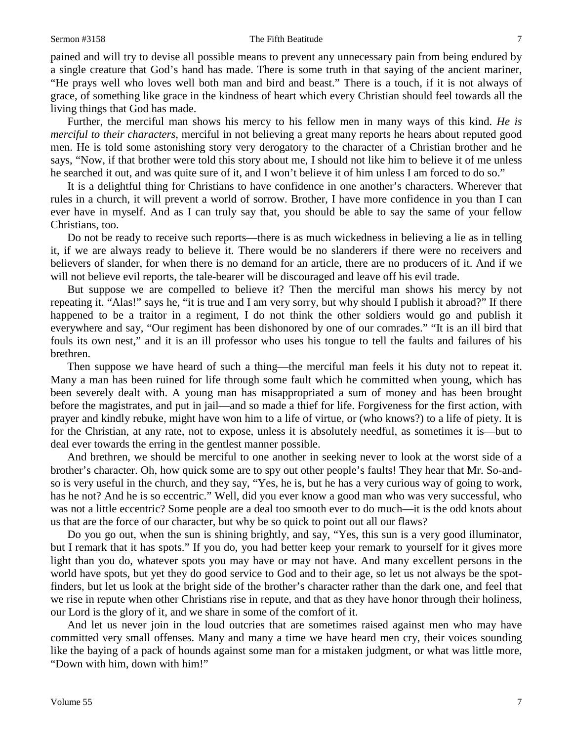#### Sermon #3158 The Fifth Beatitude 7

pained and will try to devise all possible means to prevent any unnecessary pain from being endured by a single creature that God's hand has made. There is some truth in that saying of the ancient mariner, "He prays well who loves well both man and bird and beast." There is a touch, if it is not always of grace, of something like grace in the kindness of heart which every Christian should feel towards all the living things that God has made.

Further, the merciful man shows his mercy to his fellow men in many ways of this kind. *He is merciful to their characters*, merciful in not believing a great many reports he hears about reputed good men. He is told some astonishing story very derogatory to the character of a Christian brother and he says, "Now, if that brother were told this story about me, I should not like him to believe it of me unless he searched it out, and was quite sure of it, and I won't believe it of him unless I am forced to do so."

It is a delightful thing for Christians to have confidence in one another's characters. Wherever that rules in a church, it will prevent a world of sorrow. Brother, I have more confidence in you than I can ever have in myself. And as I can truly say that, you should be able to say the same of your fellow Christians, too.

Do not be ready to receive such reports—there is as much wickedness in believing a lie as in telling it, if we are always ready to believe it. There would be no slanderers if there were no receivers and believers of slander, for when there is no demand for an article, there are no producers of it. And if we will not believe evil reports, the tale-bearer will be discouraged and leave off his evil trade.

But suppose we are compelled to believe it? Then the merciful man shows his mercy by not repeating it. "Alas!" says he, "it is true and I am very sorry, but why should I publish it abroad?" If there happened to be a traitor in a regiment, I do not think the other soldiers would go and publish it everywhere and say, "Our regiment has been dishonored by one of our comrades." "It is an ill bird that fouls its own nest," and it is an ill professor who uses his tongue to tell the faults and failures of his brethren.

Then suppose we have heard of such a thing—the merciful man feels it his duty not to repeat it. Many a man has been ruined for life through some fault which he committed when young, which has been severely dealt with. A young man has misappropriated a sum of money and has been brought before the magistrates, and put in jail—and so made a thief for life. Forgiveness for the first action, with prayer and kindly rebuke, might have won him to a life of virtue, or (who knows?) to a life of piety. It is for the Christian, at any rate, not to expose, unless it is absolutely needful, as sometimes it is—but to deal ever towards the erring in the gentlest manner possible.

And brethren, we should be merciful to one another in seeking never to look at the worst side of a brother's character. Oh, how quick some are to spy out other people's faults! They hear that Mr. So-andso is very useful in the church, and they say, "Yes, he is, but he has a very curious way of going to work, has he not? And he is so eccentric." Well, did you ever know a good man who was very successful, who was not a little eccentric? Some people are a deal too smooth ever to do much—it is the odd knots about us that are the force of our character, but why be so quick to point out all our flaws?

Do you go out, when the sun is shining brightly, and say, "Yes, this sun is a very good illuminator, but I remark that it has spots." If you do, you had better keep your remark to yourself for it gives more light than you do, whatever spots you may have or may not have. And many excellent persons in the world have spots, but yet they do good service to God and to their age, so let us not always be the spotfinders, but let us look at the bright side of the brother's character rather than the dark one, and feel that we rise in repute when other Christians rise in repute, and that as they have honor through their holiness, our Lord is the glory of it, and we share in some of the comfort of it.

And let us never join in the loud outcries that are sometimes raised against men who may have committed very small offenses. Many and many a time we have heard men cry, their voices sounding like the baying of a pack of hounds against some man for a mistaken judgment, or what was little more, "Down with him, down with him!"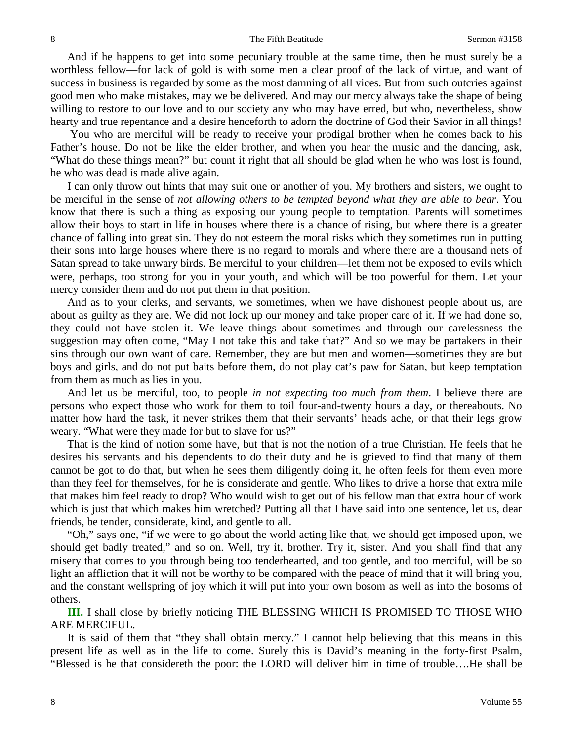And if he happens to get into some pecuniary trouble at the same time, then he must surely be a worthless fellow—for lack of gold is with some men a clear proof of the lack of virtue, and want of success in business is regarded by some as the most damning of all vices. But from such outcries against good men who make mistakes, may we be delivered. And may our mercy always take the shape of being willing to restore to our love and to our society any who may have erred, but who, nevertheless, show hearty and true repentance and a desire henceforth to adorn the doctrine of God their Savior in all things!

You who are merciful will be ready to receive your prodigal brother when he comes back to his Father's house. Do not be like the elder brother, and when you hear the music and the dancing, ask, "What do these things mean?" but count it right that all should be glad when he who was lost is found, he who was dead is made alive again.

I can only throw out hints that may suit one or another of you. My brothers and sisters, we ought to be merciful in the sense of *not allowing others to be tempted beyond what they are able to bear*. You know that there is such a thing as exposing our young people to temptation. Parents will sometimes allow their boys to start in life in houses where there is a chance of rising, but where there is a greater chance of falling into great sin. They do not esteem the moral risks which they sometimes run in putting their sons into large houses where there is no regard to morals and where there are a thousand nets of Satan spread to take unwary birds. Be merciful to your children—let them not be exposed to evils which were, perhaps, too strong for you in your youth, and which will be too powerful for them. Let your mercy consider them and do not put them in that position.

And as to your clerks, and servants, we sometimes, when we have dishonest people about us, are about as guilty as they are. We did not lock up our money and take proper care of it. If we had done so, they could not have stolen it. We leave things about sometimes and through our carelessness the suggestion may often come, "May I not take this and take that?" And so we may be partakers in their sins through our own want of care. Remember, they are but men and women—sometimes they are but boys and girls, and do not put baits before them, do not play cat's paw for Satan, but keep temptation from them as much as lies in you.

And let us be merciful, too, to people *in not expecting too much from them*. I believe there are persons who expect those who work for them to toil four-and-twenty hours a day, or thereabouts. No matter how hard the task, it never strikes them that their servants' heads ache, or that their legs grow weary. "What were they made for but to slave for us?"

That is the kind of notion some have, but that is not the notion of a true Christian. He feels that he desires his servants and his dependents to do their duty and he is grieved to find that many of them cannot be got to do that, but when he sees them diligently doing it, he often feels for them even more than they feel for themselves, for he is considerate and gentle. Who likes to drive a horse that extra mile that makes him feel ready to drop? Who would wish to get out of his fellow man that extra hour of work which is just that which makes him wretched? Putting all that I have said into one sentence, let us, dear friends, be tender, considerate, kind, and gentle to all.

"Oh," says one, "if we were to go about the world acting like that, we should get imposed upon, we should get badly treated," and so on. Well, try it, brother. Try it, sister. And you shall find that any misery that comes to you through being too tenderhearted, and too gentle, and too merciful, will be so light an affliction that it will not be worthy to be compared with the peace of mind that it will bring you, and the constant wellspring of joy which it will put into your own bosom as well as into the bosoms of others.

**III.** I shall close by briefly noticing THE BLESSING WHICH IS PROMISED TO THOSE WHO ARE MERCIFUL.

It is said of them that "they shall obtain mercy." I cannot help believing that this means in this present life as well as in the life to come. Surely this is David's meaning in the forty-first Psalm, "Blessed is he that considereth the poor: the LORD will deliver him in time of trouble….He shall be